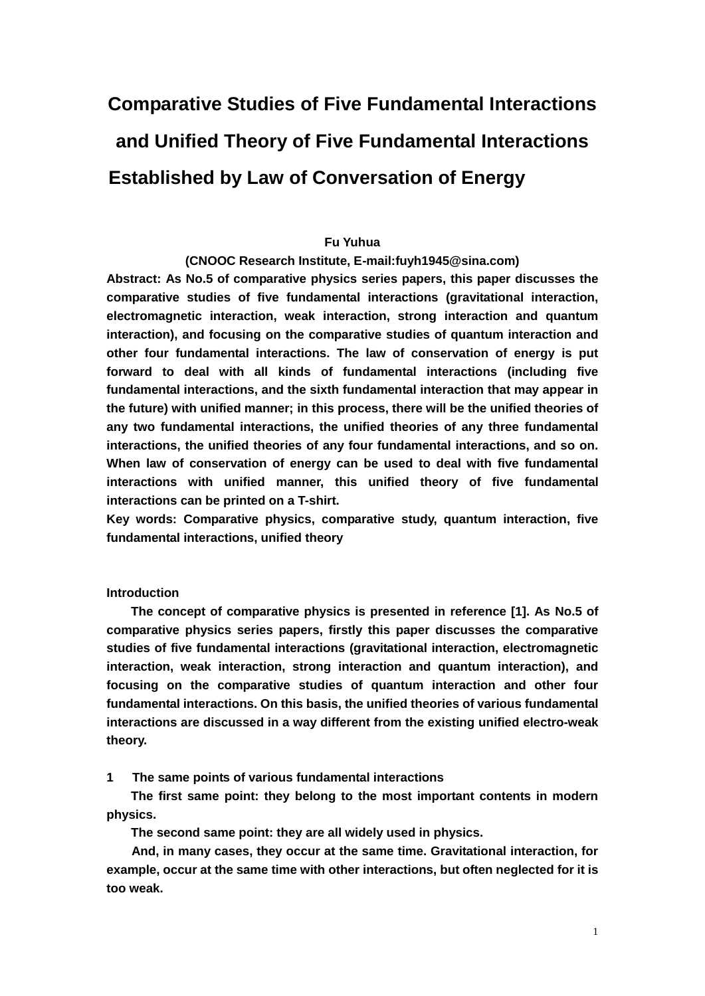# **Comparative Studies of Five Fundamental Interactions and Unified Theory of Five Fundamental Interactions Established by Law of Conversation of Energy**

# **Fu Yuhua**

#### **(CNOOC Research Institute, E-mail:fuyh1945@sina.com)**

**Abstract: As No.5 of comparative physics series papers, this paper discusses the comparative studies of five fundamental interactions (gravitational interaction, electromagnetic interaction, weak interaction, strong interaction and quantum interaction), and focusing on the comparative studies of quantum interaction and other four fundamental interactions. The law of conservation of energy is put forward to deal with all kinds of fundamental interactions (including five fundamental interactions, and the sixth fundamental interaction that may appear in the future) with unified manner; in this process, there will be the unified theories of any two fundamental interactions, the unified theories of any three fundamental interactions, the unified theories of any four fundamental interactions, and so on. When law of conservation of energy can be used to deal with five fundamental interactions with unified manner, this unified theory of five fundamental interactions can be printed on a T-shirt.** 

**Key words: Comparative physics, comparative study, quantum interaction, five fundamental interactions, unified theory**

## **Introduction**

**The concept of comparative physics is presented in reference [1]. As No.5 of comparative physics series papers, firstly this paper discusses the comparative studies of five fundamental interactions (gravitational interaction, electromagnetic interaction, weak interaction, strong interaction and quantum interaction), and focusing on the comparative studies of quantum interaction and other four fundamental interactions. On this basis, the unified theories of various fundamental interactions are discussed in a way different from the existing unified electro-weak theory.**

**1 The same points of various fundamental interactions**

**The first same point: they belong to the most important contents in modern physics.**

**The second same point: they are all widely used in physics.**

**And, in many cases, they occur at the same time. Gravitational interaction, for example, occur at the same time with other interactions, but often neglected for it is too weak.**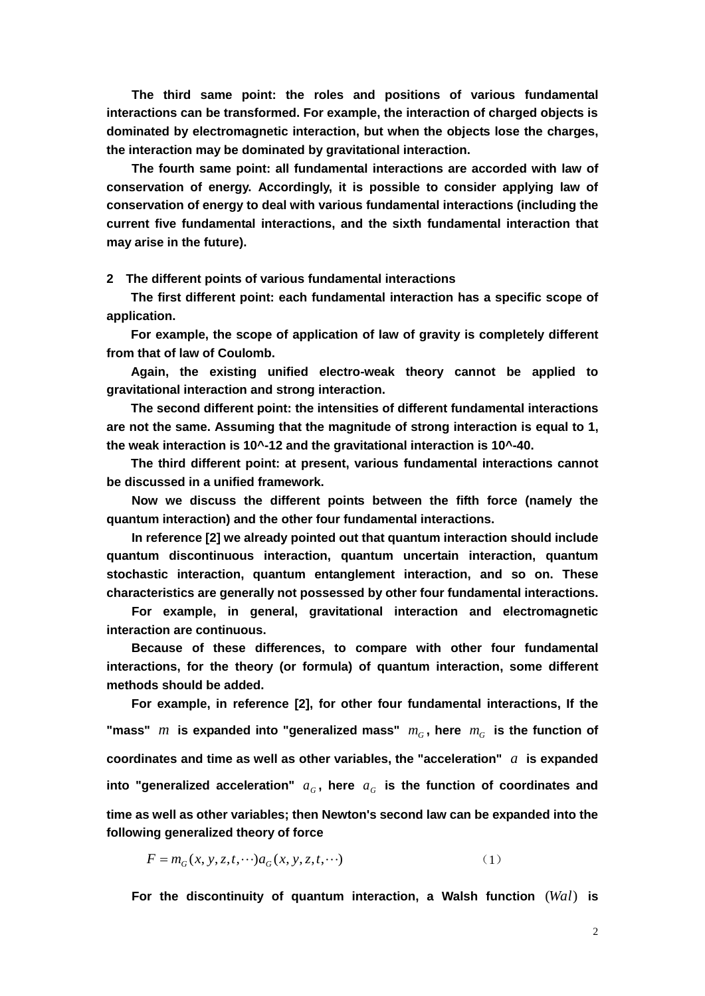**The third same point: the roles and positions of various fundamental interactions can be transformed. For example, the interaction of charged objects is dominated by electromagnetic interaction, but when the objects lose the charges, the interaction may be dominated by gravitational interaction.**

**The fourth same point: all fundamental interactions are accorded with law of conservation of energy. Accordingly, it is possible to consider applying law of conservation of energy to deal with various fundamental interactions (including the current five fundamental interactions, and the sixth fundamental interaction that may arise in the future).**

**2 The different points of various fundamental interactions**

**The first different point: each fundamental interaction has a specific scope of application.**

**For example, the scope of application of law of gravity is completely different from that of law of Coulomb.**

**Again, the existing unified electro-weak theory cannot be applied to gravitational interaction and strong interaction.**

**The second different point: the intensities of different fundamental interactions are not the same. Assuming that the magnitude of strong interaction is equal to 1, the weak interaction is 10^-12 and the gravitational interaction is 10^-40.**

**The third different point: at present, various fundamental interactions cannot be discussed in a unified framework.**

**Now we discuss the different points between the fifth force (namely the quantum interaction) and the other four fundamental interactions.**

**In reference [2] we already pointed out that quantum interaction should include quantum discontinuous interaction, quantum uncertain interaction, quantum stochastic interaction, quantum entanglement interaction, and so on. These characteristics are generally not possessed by other four fundamental interactions.**

**For example, in general, gravitational interaction and electromagnetic interaction are continuous.**

**Because of these differences, to compare with other four fundamental interactions, for the theory (or formula) of quantum interaction, some different methods should be added.**

**For example, in reference [2], for other four fundamental interactions, If the**  "mass"  $m$  is expanded into "generalized mass"  $m_G$ , here  $m_G$  is the function of **coordinates and time as well as other variables, the "acceleration"**  *a* **is expanded**  into "generalized acceleration"  $a_G$ , here  $a_G$  is the function of coordinates and **time as well as other variables; then Newton's second law can be expanded into the following generalized theory of force**

$$
F = m_G(x, y, z, t, \cdots) a_G(x, y, z, t, \cdots)
$$
 (1)

**For the discontinuity of quantum interaction, a Walsh function**  (*Wal*) **is**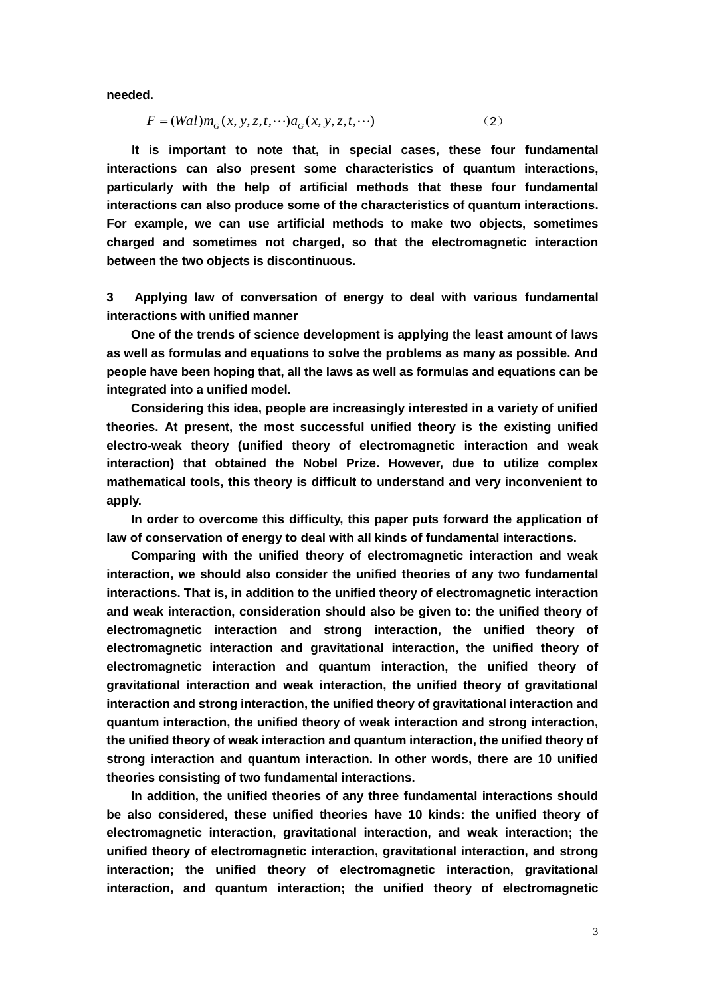**needed.**

$$
F = (Wal)m_G(x, y, z, t, \cdots)a_G(x, y, z, t, \cdots)
$$
 (2)

**It is important to note that, in special cases, these four fundamental interactions can also present some characteristics of quantum interactions, particularly with the help of artificial methods that these four fundamental interactions can also produce some of the characteristics of quantum interactions. For example, we can use artificial methods to make two objects, sometimes charged and sometimes not charged, so that the electromagnetic interaction between the two objects is discontinuous.**

**3 Applying law of conversation of energy to deal with various fundamental interactions with unified manner** 

**One of the trends of science development is applying the least amount of laws as well as formulas and equations to solve the problems as many as possible. And people have been hoping that, all the laws as well as formulas and equations can be integrated into a unified model.**

**Considering this idea, people are increasingly interested in a variety of unified theories. At present, the most successful unified theory is the existing unified electro-weak theory (unified theory of electromagnetic interaction and weak interaction) that obtained the Nobel Prize. However, due to utilize complex mathematical tools, this theory is difficult to understand and very inconvenient to apply.**

**In order to overcome this difficulty, this paper puts forward the application of law of conservation of energy to deal with all kinds of fundamental interactions.**

**Comparing with the unified theory of electromagnetic interaction and weak interaction, we should also consider the unified theories of any two fundamental interactions. That is, in addition to the unified theory of electromagnetic interaction and weak interaction, consideration should also be given to: the unified theory of electromagnetic interaction and strong interaction, the unified theory of electromagnetic interaction and gravitational interaction, the unified theory of electromagnetic interaction and quantum interaction, the unified theory of gravitational interaction and weak interaction, the unified theory of gravitational interaction and strong interaction, the unified theory of gravitational interaction and quantum interaction, the unified theory of weak interaction and strong interaction, the unified theory of weak interaction and quantum interaction, the unified theory of strong interaction and quantum interaction. In other words, there are 10 unified theories consisting of two fundamental interactions.**

**In addition, the unified theories of any three fundamental interactions should be also considered, these unified theories have 10 kinds: the unified theory of electromagnetic interaction, gravitational interaction, and weak interaction; the unified theory of electromagnetic interaction, gravitational interaction, and strong interaction; the unified theory of electromagnetic interaction, gravitational interaction, and quantum interaction; the unified theory of electromagnetic**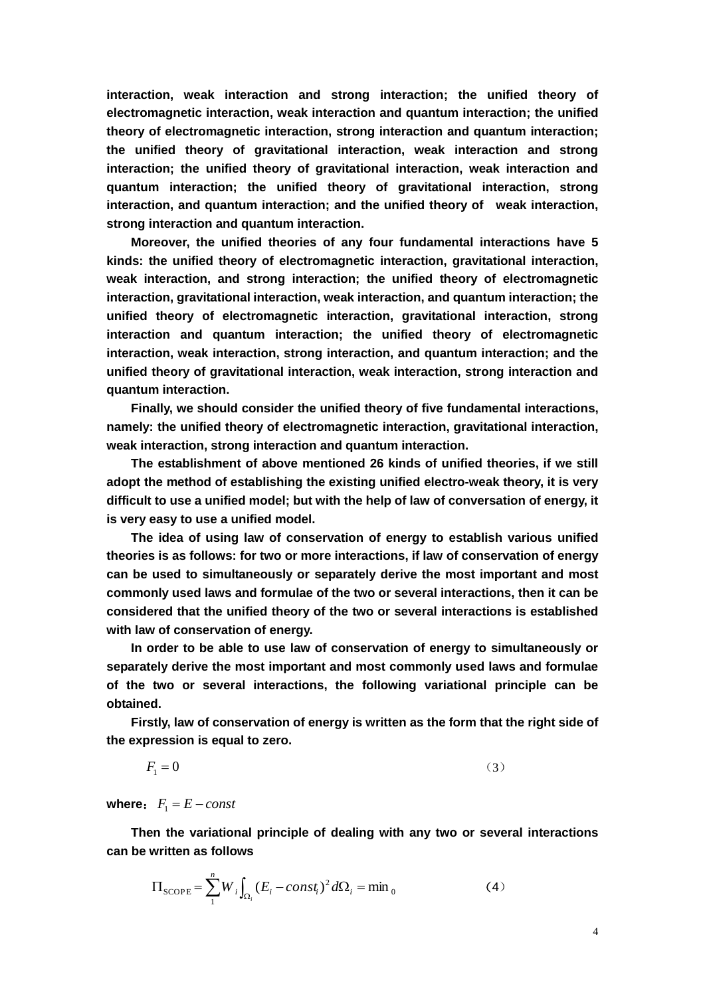**interaction, weak interaction and strong interaction; the unified theory of electromagnetic interaction, weak interaction and quantum interaction; the unified theory of electromagnetic interaction, strong interaction and quantum interaction; the unified theory of gravitational interaction, weak interaction and strong interaction; the unified theory of gravitational interaction, weak interaction and quantum interaction; the unified theory of gravitational interaction, strong interaction, and quantum interaction; and the unified theory of weak interaction, strong interaction and quantum interaction.**

**Moreover, the unified theories of any four fundamental interactions have 5 kinds: the unified theory of electromagnetic interaction, gravitational interaction, weak interaction, and strong interaction; the unified theory of electromagnetic interaction, gravitational interaction, weak interaction, and quantum interaction; the unified theory of electromagnetic interaction, gravitational interaction, strong interaction and quantum interaction; the unified theory of electromagnetic interaction, weak interaction, strong interaction, and quantum interaction; and the unified theory of gravitational interaction, weak interaction, strong interaction and quantum interaction.**

**Finally, we should consider the unified theory of five fundamental interactions, namely: the unified theory of electromagnetic interaction, gravitational interaction, weak interaction, strong interaction and quantum interaction.**

**The establishment of above mentioned 26 kinds of unified theories, if we still adopt the method of establishing the existing unified electro-weak theory, it is very difficult to use a unified model; but with the help of law of conversation of energy, it is very easy to use a unified model.**

**The idea of using law of conservation of energy to establish various unified theories is as follows: for two or more interactions, if law of conservation of energy can be used to simultaneously or separately derive the most important and most commonly used laws and formulae of the two or several interactions, then it can be considered that the unified theory of the two or several interactions is established with law of conservation of energy.**

**In order to be able to use law of conservation of energy to simultaneously or separately derive the most important and most commonly used laws and formulae of the two or several interactions, the following variational principle can be obtained.**

**Firstly, law of conservation of energy is written as the form that the right side of the expression is equal to zero.**

$$
F_1 = 0 \tag{3}
$$

**where:**  $F_1 = E - const$ 

**Then the variational principle of dealing with any two or several interactions can be written as follows**

$$
\Pi_{\text{SCOPE}} = \sum_{i}^{n} W_i \int_{\Omega_i} (E_i - const_i)^2 d\Omega_i = \min_0
$$
 (4)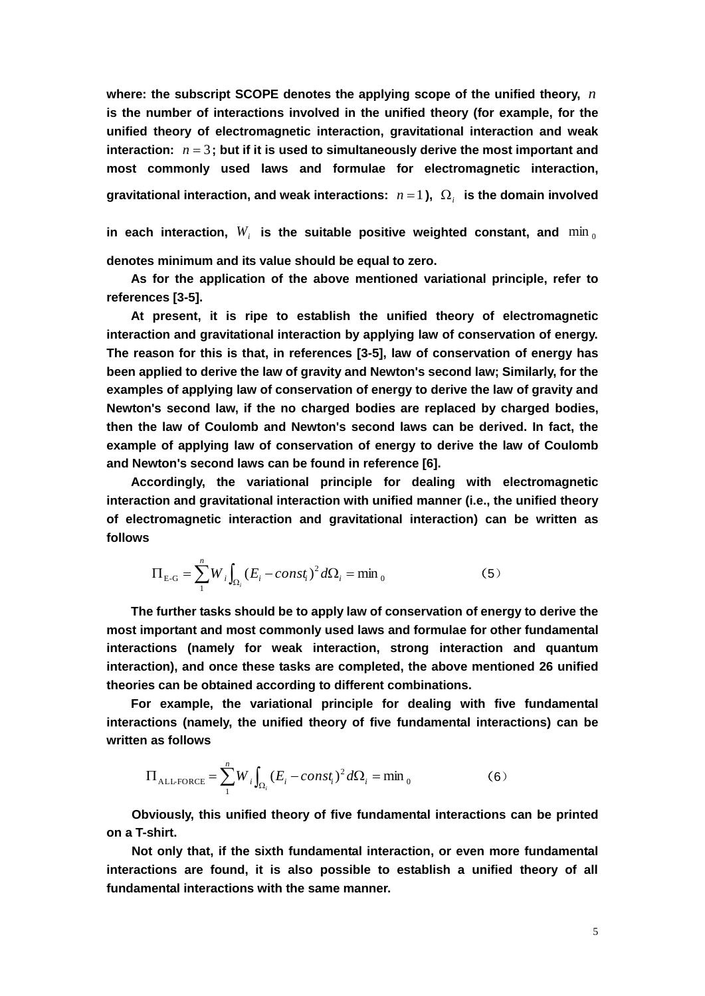**where: the subscript SCOPE denotes the applying scope of the unified theory,** *n* **is the number of interactions involved in the unified theory (for example, for the unified theory of electromagnetic interaction, gravitational interaction and weak**  interaction:  $n = 3$ ; but if it is used to simultaneously derive the most important and **most commonly used laws and formulae for electromagnetic interaction,**  gravitational interaction, and weak interactions:  $n=1$  ),  $|\Omega_i|$  is the domain involved

in each interaction,  $W_i$  is the suitable positive weighted constant, and  $\min_{\mathbf{0}}$ **denotes minimum and its value should be equal to zero.**

**As for the application of the above mentioned variational principle, refer to references [3-5].**

**At present, it is ripe to establish the unified theory of electromagnetic interaction and gravitational interaction by applying law of conservation of energy. The reason for this is that, in references [3-5], law of conservation of energy has been applied to derive the law of gravity and Newton's second law; Similarly, for the examples of applying law of conservation of energy to derive the law of gravity and Newton's second law, if the no charged bodies are replaced by charged bodies, then the law of Coulomb and Newton's second laws can be derived. In fact, the example of applying law of conservation of energy to derive the law of Coulomb and Newton's second laws can be found in reference [6].** 

**Accordingly, the variational principle for dealing with electromagnetic interaction and gravitational interaction with unified manner (i.e., the unified theory of electromagnetic interaction and gravitational interaction) can be written as follows** 

$$
\Pi_{E-G} = \sum_{i=1}^{n} W_i \int_{\Omega_i} (E_i - const_i)^2 d\Omega_i = \min_0
$$
 (5)

**The further tasks should be to apply law of conservation of energy to derive the most important and most commonly used laws and formulae for other fundamental interactions (namely for weak interaction, strong interaction and quantum interaction), and once these tasks are completed, the above mentioned 26 unified theories can be obtained according to different combinations.**

**For example, the variational principle for dealing with five fundamental interactions (namely, the unified theory of five fundamental interactions) can be written as follows**

$$
\Pi_{\text{ALLFORCE}} = \sum_{i}^{n} W_{i} \int_{\Omega_{i}} (E_{i} - const_{i})^{2} d\Omega_{i} = \min_{0}
$$
 (6)

**Obviously, this unified theory of five fundamental interactions can be printed on a T-shirt.**

**Not only that, if the sixth fundamental interaction, or even more fundamental interactions are found, it is also possible to establish a unified theory of all fundamental interactions with the same manner.**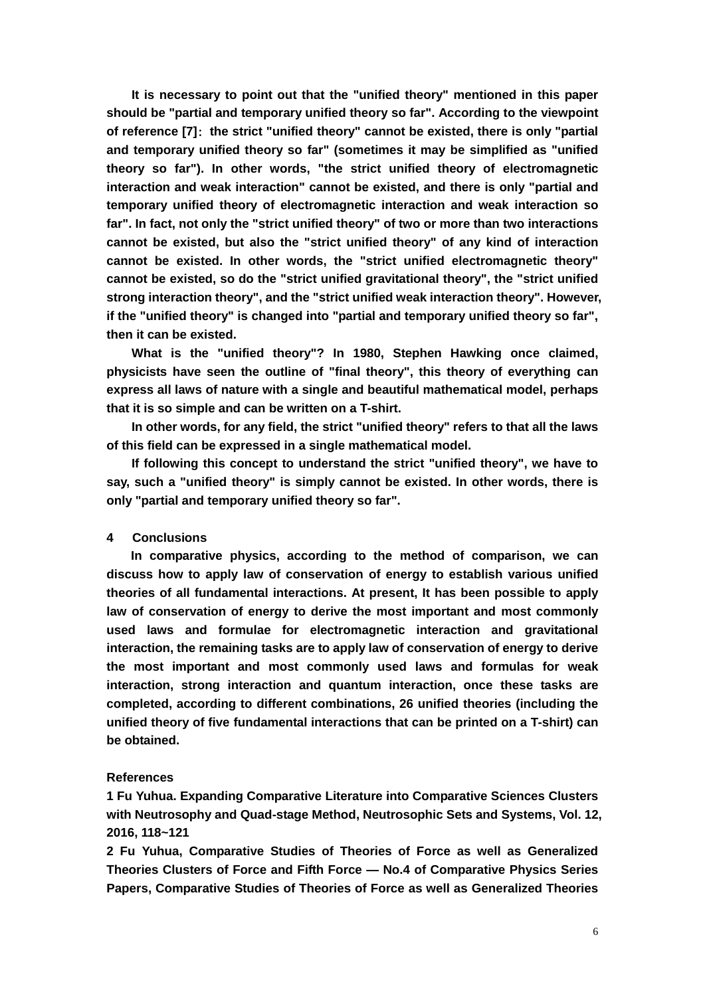**It is necessary to point out that the "unified theory" mentioned in this paper should be "partial and temporary unified theory so far". According to the viewpoint of reference [7]**: **the strict "unified theory" cannot be existed, there is only "partial and temporary unified theory so far" (sometimes it may be simplified as "unified theory so far"). In other words, "the strict unified theory of electromagnetic interaction and weak interaction" cannot be existed, and there is only "partial and temporary unified theory of electromagnetic interaction and weak interaction so far". In fact, not only the "strict unified theory" of two or more than two interactions cannot be existed, but also the "strict unified theory" of any kind of interaction cannot be existed. In other words, the "strict unified electromagnetic theory" cannot be existed, so do the "strict unified gravitational theory", the "strict unified strong interaction theory", and the "strict unified weak interaction theory". However, if the "unified theory" is changed into "partial and temporary unified theory so far", then it can be existed.** 

**What is the "unified theory"? In 1980, Stephen Hawking once claimed, physicists have seen the outline of "final theory", this theory of everything can express all laws of nature with a single and beautiful mathematical model, perhaps that it is so simple and can be written on a T-shirt.**

**In other words, for any field, the strict "unified theory" refers to that all the laws of this field can be expressed in a single mathematical model.**

**If following this concept to understand the strict "unified theory", we have to say, such a "unified theory" is simply cannot be existed. In other words, there is only "partial and temporary unified theory so far".**

# **4 Conclusions**

**In comparative physics, according to the method of comparison, we can discuss how to apply law of conservation of energy to establish various unified theories of all fundamental interactions. At present, It has been possible to apply law of conservation of energy to derive the most important and most commonly used laws and formulae for electromagnetic interaction and gravitational interaction, the remaining tasks are to apply law of conservation of energy to derive the most important and most commonly used laws and formulas for weak interaction, strong interaction and quantum interaction, once these tasks are completed, according to different combinations, 26 unified theories (including the unified theory of five fundamental interactions that can be printed on a T-shirt) can be obtained.**

### **References**

**1 Fu Yuhua. Expanding Comparative Literature into Comparative Sciences Clusters with Neutrosophy and Quad-stage Method, Neutrosophic Sets and Systems, Vol. 12, 2016, 118~121**

**2 Fu Yuhua, Comparative Studies of Theories of Force as well as Generalized Theories Clusters of Force and Fifth Force — No.4 of Comparative Physics Series Papers, Comparative Studies of Theories of Force as well as Generalized Theories**